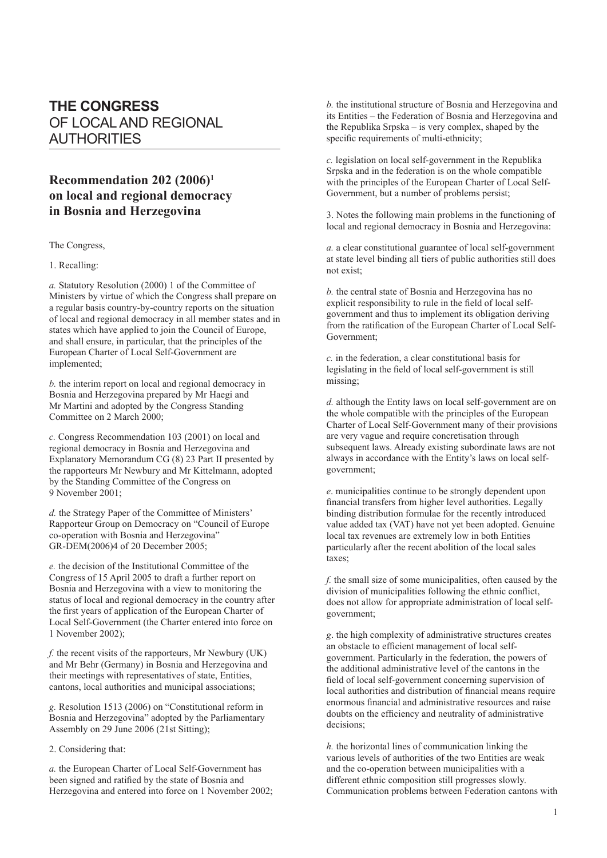# **THE CONGRESS** OF LOCAL AND REGIONAL AUTHORITIES

## **Recommendation 202 (2006)1 on local and regional democracy in Bosnia and Herzegovina**

The Congress,

1. Recalling:

*a.* Statutory Resolution (2000) 1 of the Committee of Ministers by virtue of which the Congress shall prepare on a regular basis country-by-country reports on the situation of local and regional democracy in all member states and in states which have applied to join the Council of Europe, and shall ensure, in particular, that the principles of the European Charter of Local Self-Government are implemented;

*b.* the interim report on local and regional democracy in Bosnia and Herzegovina prepared by Mr Haegi and Mr Martini and adopted by the Congress Standing Committee on 2 March 2000;

*c.* Congress Recommendation 103 (2001) on local and regional democracy in Bosnia and Herzegovina and Explanatory Memorandum CG (8) 23 Part II presented by the rapporteurs Mr Newbury and Mr Kittelmann, adopted by the Standing Committee of the Congress on 9 November 2001;

*d.* the Strategy Paper of the Committee of Ministers' Rapporteur Group on Democracy on "Council of Europe co-operation with Bosnia and Herzegovina" GR-DEM(2006)4 of 20 December 2005;

*e.* the decision of the Institutional Committee of the Congress of 15 April 2005 to draft a further report on Bosnia and Herzegovina with a view to monitoring the status of local and regional democracy in the country after the first years of application of the European Charter of Local Self-Government (the Charter entered into force on 1 November 2002);

*f.* the recent visits of the rapporteurs, Mr Newbury (UK) and Mr Behr (Germany) in Bosnia and Herzegovina and their meetings with representatives of state, Entities, cantons, local authorities and municipal associations;

*g.* Resolution 1513 (2006) on "Constitutional reform in Bosnia and Herzegovina" adopted by the Parliamentary Assembly on 29 June 2006 (21st Sitting);

2. Considering that:

*a.* the European Charter of Local Self-Government has been signed and ratified by the state of Bosnia and Herzegovina and entered into force on 1 November 2002; *b.* the institutional structure of Bosnia and Herzegovina and its Entities – the Federation of Bosnia and Herzegovina and the Republika Srpska – is very complex, shaped by the specific requirements of multi-ethnicity;

*c.* legislation on local self-government in the Republika Srpska and in the federation is on the whole compatible with the principles of the European Charter of Local Self-Government, but a number of problems persist;

3. Notes the following main problems in the functioning of local and regional democracy in Bosnia and Herzegovina:

*a.* a clear constitutional guarantee of local self-government at state level binding all tiers of public authorities still does not exist;

*b.* the central state of Bosnia and Herzegovina has no explicit responsibility to rule in the field of local selfgovernment and thus to implement its obligation deriving from the ratification of the European Charter of Local Self-Government;

*c.* in the federation, a clear constitutional basis for legislating in the field of local self-government is still missing;

*d.* although the Entity laws on local self-government are on the whole compatible with the principles of the European Charter of Local Self-Government many of their provisions are very vague and require concretisation through subsequent laws. Already existing subordinate laws are not always in accordance with the Entity's laws on local selfgovernment;

*e*. municipalities continue to be strongly dependent upon financial transfers from higher level authorities. Legally binding distribution formulae for the recently introduced value added tax (VAT) have not yet been adopted. Genuine local tax revenues are extremely low in both Entities particularly after the recent abolition of the local sales taxes;

*f.* the small size of some municipalities, often caused by the division of municipalities following the ethnic conflict, does not allow for appropriate administration of local selfgovernment;

*g*. the high complexity of administrative structures creates an obstacle to efficient management of local selfgovernment. Particularly in the federation, the powers of the additional administrative level of the cantons in the field of local self-government concerning supervision of local authorities and distribution of financial means require enormous financial and administrative resources and raise doubts on the efficiency and neutrality of administrative decisions;

*h.* the horizontal lines of communication linking the various levels of authorities of the two Entities are weak and the co-operation between municipalities with a different ethnic composition still progresses slowly. Communication problems between Federation cantons with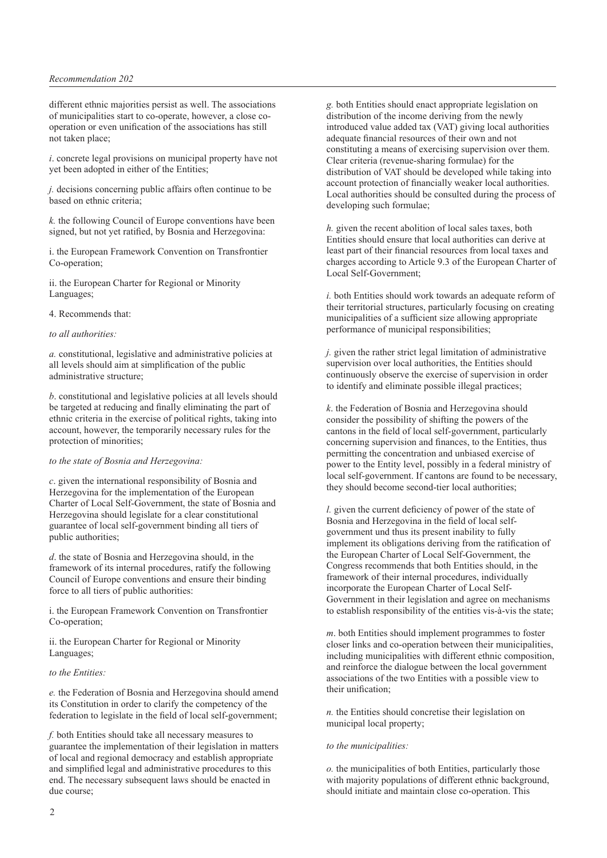#### *Recommendation 202*

different ethnic majorities persist as well. The associations of municipalities start to co-operate, however, a close cooperation or even unification of the associations has still not taken place;

*i*. concrete legal provisions on municipal property have not yet been adopted in either of the Entities;

*j.* decisions concerning public affairs often continue to be based on ethnic criteria;

*k.* the following Council of Europe conventions have been signed, but not yet ratified, by Bosnia and Herzegovina:

i. the European Framework Convention on Transfrontier Co-operation;

ii. the European Charter for Regional or Minority Languages;

4. Recommends that:

## *to all authorities:*

*a.* constitutional, legislative and administrative policies at all levels should aim at simplification of the public administrative structure;

*b*. constitutional and legislative policies at all levels should be targeted at reducing and finally eliminating the part of ethnic criteria in the exercise of political rights, taking into account, however, the temporarily necessary rules for the protection of minorities;

## *to the state of Bosnia and Herzegovina:*

*c*. given the international responsibility of Bosnia and Herzegovina for the implementation of the European Charter of Local Self-Government, the state of Bosnia and Herzegovina should legislate for a clear constitutional guarantee of local self-government binding all tiers of public authorities;

*d*. the state of Bosnia and Herzegovina should, in the framework of its internal procedures, ratify the following Council of Europe conventions and ensure their binding force to all tiers of public authorities:

i. the European Framework Convention on Transfrontier Co-operation;

ii. the European Charter for Regional or Minority Languages;

#### *to the Entities:*

*e.* the Federation of Bosnia and Herzegovina should amend its Constitution in order to clarify the competency of the federation to legislate in the field of local self-government;

*f.* both Entities should take all necessary measures to guarantee the implementation of their legislation in matters of local and regional democracy and establish appropriate and simplified legal and administrative procedures to this end. The necessary subsequent laws should be enacted in due course;

*g.* both Entities should enact appropriate legislation on distribution of the income deriving from the newly introduced value added tax (VAT) giving local authorities adequate financial resources of their own and not constituting a means of exercising supervision over them. Clear criteria (revenue-sharing formulae) for the distribution of VAT should be developed while taking into account protection of financially weaker local authorities. Local authorities should be consulted during the process of developing such formulae;

*h.* given the recent abolition of local sales taxes, both Entities should ensure that local authorities can derive at least part of their financial resources from local taxes and charges according to Article 9.3 of the European Charter of Local Self-Government;

*i.* both Entities should work towards an adequate reform of their territorial structures, particularly focusing on creating municipalities of a sufficient size allowing appropriate performance of municipal responsibilities;

*j.* given the rather strict legal limitation of administrative supervision over local authorities, the Entities should continuously observe the exercise of supervision in order to identify and eliminate possible illegal practices;

*k*. the Federation of Bosnia and Herzegovina should consider the possibility of shifting the powers of the cantons in the field of local self-government, particularly concerning supervision and finances, to the Entities, thus permitting the concentration and unbiased exercise of power to the Entity level, possibly in a federal ministry of local self-government. If cantons are found to be necessary, they should become second-tier local authorities;

*l.* given the current deficiency of power of the state of Bosnia and Herzegovina in the field of local selfgovernment und thus its present inability to fully implement its obligations deriving from the ratification of the European Charter of Local Self-Government, the Congress recommends that both Entities should, in the framework of their internal procedures, individually incorporate the European Charter of Local Self-Government in their legislation and agree on mechanisms to establish responsibility of the entities vis-à-vis the state;

*m*. both Entities should implement programmes to foster closer links and co-operation between their municipalities, including municipalities with different ethnic composition, and reinforce the dialogue between the local government associations of the two Entities with a possible view to their unification;

*n.* the Entities should concretise their legislation on municipal local property;

## *to the municipalities:*

*o.* the municipalities of both Entities, particularly those with majority populations of different ethnic background, should initiate and maintain close co-operation. This